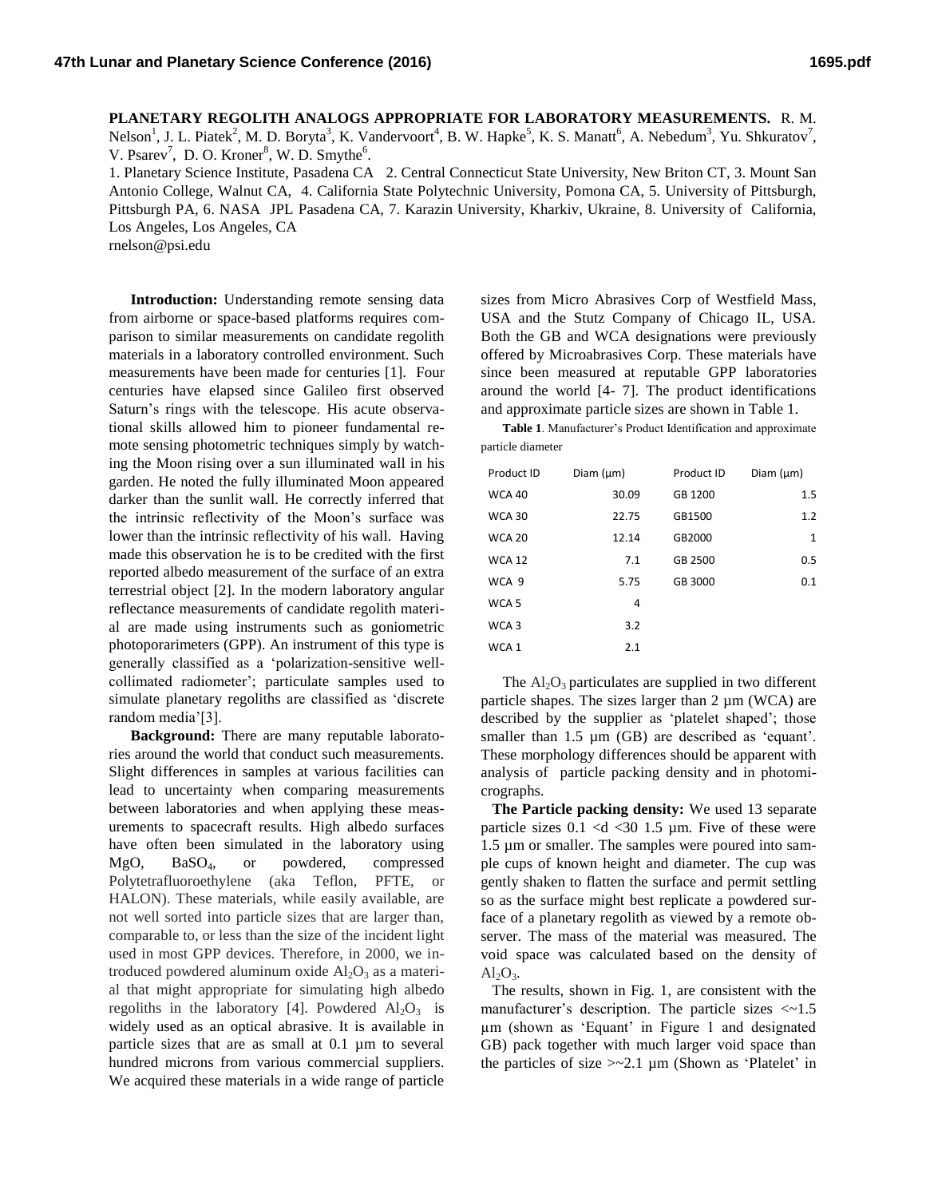**PLANETARY REGOLITH ANALOGS APPROPRIATE FOR LABORATORY MEASUREMENTS.** R. M. Nelson<sup>1</sup>, J. L. Piatek<sup>2</sup>, M. D. Boryta<sup>3</sup>, K. Vandervoort<sup>4</sup>, B. W. Hapke<sup>5</sup>, K. S. Manatt<sup>6</sup>, A. Nebedum<sup>3</sup>, Yu. Shkuratov<sup>7</sup>, V. Psarev<sup>7</sup>, D. O. Kroner<sup>8</sup>, W. D. Smythe<sup>6</sup>.

1. Planetary Science Institute, Pasadena CA 2. Central Connecticut State University, New Briton CT, 3. Mount San Antonio College, Walnut CA, 4. California State Polytechnic University, Pomona CA, 5. University of Pittsburgh, Pittsburgh PA, 6. NASA JPL Pasadena CA, 7. Karazin University, Kharkiv, Ukraine, 8. University of California, Los Angeles, Los Angeles, CA

rnelson@psi.edu

**Introduction:** Understanding remote sensing data from airborne or space-based platforms requires comparison to similar measurements on candidate regolith materials in a laboratory controlled environment. Such measurements have been made for centuries [1]. Four centuries have elapsed since Galileo first observed Saturn's rings with the telescope. His acute observational skills allowed him to pioneer fundamental remote sensing photometric techniques simply by watching the Moon rising over a sun illuminated wall in his garden. He noted the fully illuminated Moon appeared darker than the sunlit wall. He correctly inferred that the intrinsic reflectivity of the Moon's surface was lower than the intrinsic reflectivity of his wall. Having made this observation he is to be credited with the first reported albedo measurement of the surface of an extra terrestrial object [2]. In the modern laboratory angular reflectance measurements of candidate regolith material are made using instruments such as goniometric photoporarimeters (GPP). An instrument of this type is generally classified as a 'polarization-sensitive wellcollimated radiometer'; particulate samples used to simulate planetary regoliths are classified as 'discrete random media'[3].

**Background:** There are many reputable laboratories around the world that conduct such measurements. Slight differences in samples at various facilities can lead to uncertainty when comparing measurements between laboratories and when applying these measurements to spacecraft results. High albedo surfaces have often been simulated in the laboratory using MgO, BaSO4, or powdered, compressed Polytetrafluoroethylene (aka Teflon, PFTE, or HALON). These materials, while easily available, are not well sorted into particle sizes that are larger than, comparable to, or less than the size of the incident light used in most GPP devices. Therefore, in 2000, we introduced powdered aluminum oxide  $Al_2O_3$  as a material that might appropriate for simulating high albedo regoliths in the laboratory [4]. Powdered  $Al_2O_3$  is widely used as an optical abrasive. It is available in particle sizes that are as small at 0.1 µm to several hundred microns from various commercial suppliers. We acquired these materials in a wide range of particle

sizes from Micro Abrasives Corp of Westfield Mass, USA and the Stutz Company of Chicago IL, USA. Both the GB and WCA designations were previously offered by Microabrasives Corp. These materials have since been measured at reputable GPP laboratories around the world [4- 7]. The product identifications and approximate particle sizes are shown in Table 1.

**Table 1**. Manufacturer's Product Identification and approximate particle diameter

| Product ID       | Diam $(\mu m)$ | Product ID | Diam $(\mu m)$ |
|------------------|----------------|------------|----------------|
| <b>WCA 40</b>    | 30.09          | GB 1200    | 1.5            |
| <b>WCA 30</b>    | 22.75          | GB1500     | 1.2            |
| <b>WCA 20</b>    | 12.14          | GB2000     | $\mathbf{1}$   |
| <b>WCA 12</b>    | 7.1            | GB 2500    | 0.5            |
| WCA 9            | 5.75           | GB 3000    | 0.1            |
| WCA <sub>5</sub> | 4              |            |                |
| WCA 3            | 3.2            |            |                |
| WCA <sub>1</sub> | 2.1            |            |                |

The  $\text{Al}_2\text{O}_3$  particulates are supplied in two different particle shapes. The sizes larger than  $2 \mu m$  (WCA) are described by the supplier as 'platelet shaped'; those smaller than 1.5  $\mu$ m (GB) are described as 'equant'. These morphology differences should be apparent with analysis of particle packing density and in photomicrographs.

 **The Particle packing density:** We used 13 separate particle sizes  $0.1 \lt d \lt 30$  1.5 µm. Five of these were 1.5 µm or smaller. The samples were poured into sample cups of known height and diameter. The cup was gently shaken to flatten the surface and permit settling so as the surface might best replicate a powdered surface of a planetary regolith as viewed by a remote observer. The mass of the material was measured. The void space was calculated based on the density of  $Al_2O_3$ .

 The results, shown in Fig. 1, are consistent with the manufacturer's description. The particle sizes  $\langle \sim 1.5$ µm (shown as 'Equant' in Figure 1 and designated GB) pack together with much larger void space than the particles of size  $\ge$  -2.1 µm (Shown as 'Platelet' in